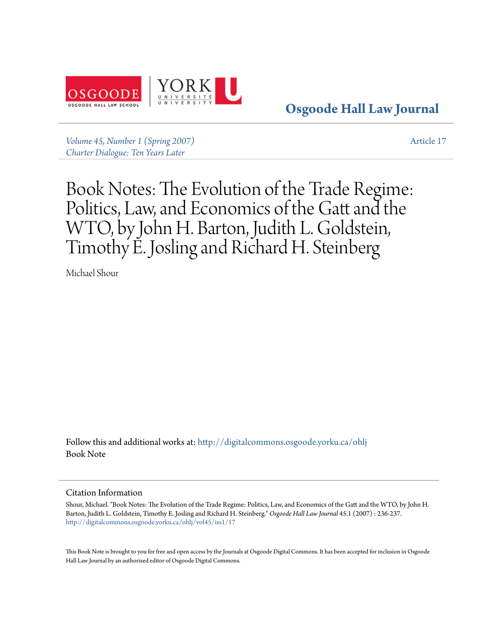

**[Osgoode Hall Law Journal](http://digitalcommons.osgoode.yorku.ca/ohlj?utm_source=digitalcommons.osgoode.yorku.ca%2Fohlj%2Fvol45%2Fiss1%2F17&utm_medium=PDF&utm_campaign=PDFCoverPages)**

*[Volume 45, Number 1 \(Spring 2007\)](http://digitalcommons.osgoode.yorku.ca/ohlj/vol45/iss1?utm_source=digitalcommons.osgoode.yorku.ca%2Fohlj%2Fvol45%2Fiss1%2F17&utm_medium=PDF&utm_campaign=PDFCoverPages) [Charter Dialogue: Ten Years Later](http://digitalcommons.osgoode.yorku.ca/ohlj/vol45/iss1?utm_source=digitalcommons.osgoode.yorku.ca%2Fohlj%2Fvol45%2Fiss1%2F17&utm_medium=PDF&utm_campaign=PDFCoverPages)*

[Article 17](http://digitalcommons.osgoode.yorku.ca/ohlj/vol45/iss1/17?utm_source=digitalcommons.osgoode.yorku.ca%2Fohlj%2Fvol45%2Fiss1%2F17&utm_medium=PDF&utm_campaign=PDFCoverPages)

Book Notes: The Evolution of the Trade Regime: Politics, Law, and Economics of the Gatt and the WTO, by John H. Barton, Judith L. Goldstein, Timothy E. Josling and Richard H. Steinberg

Michael Shour

Follow this and additional works at: [http://digitalcommons.osgoode.yorku.ca/ohlj](http://digitalcommons.osgoode.yorku.ca/ohlj?utm_source=digitalcommons.osgoode.yorku.ca%2Fohlj%2Fvol45%2Fiss1%2F17&utm_medium=PDF&utm_campaign=PDFCoverPages) Book Note

## Citation Information

Shour, Michael. "Book Notes: The Evolution of the Trade Regime: Politics, Law, and Economics of the Gatt and the WTO, by John H. Barton, Judith L. Goldstein, Timothy E. Josling and Richard H. Steinberg." *Osgoode Hall Law Journal* 45.1 (2007) : 236-237. [http://digitalcommons.osgoode.yorku.ca/ohlj/vol45/iss1/17](http://digitalcommons.osgoode.yorku.ca/ohlj/vol45/iss1/17?utm_source=digitalcommons.osgoode.yorku.ca%2Fohlj%2Fvol45%2Fiss1%2F17&utm_medium=PDF&utm_campaign=PDFCoverPages)

This Book Note is brought to you for free and open access by the Journals at Osgoode Digital Commons. It has been accepted for inclusion in Osgoode Hall Law Journal by an authorized editor of Osgoode Digital Commons.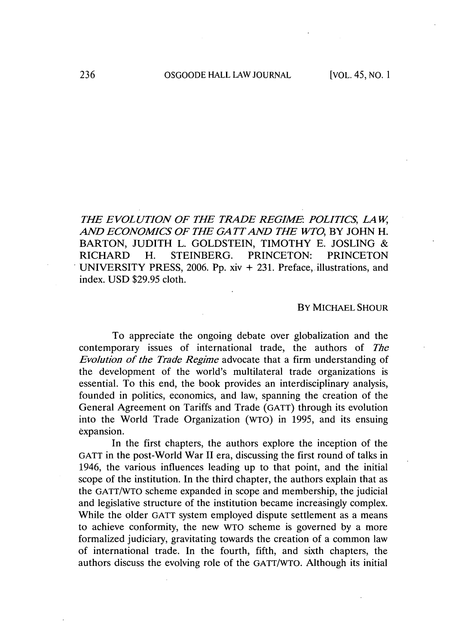*THE EVOLUTION OF THE TRADE REGIME: POLITICS, LA W, AND ECONOMICS OF THE GA TT AND THE WTO,* BY **JOHN** H. BARTON, **JUDITH** L. **GOLDSTEIN,** TIMOTHY **E. JOSLING &** RICHARD H. **STEINBERG. PRINCETON:** PRINCETON **UNIVERSITY** PRESS, **2006. Pp.** xiv **+ 231.** Preface, illustrations, and index. **USD \$29.95** cloth.

## BY **MICHAEL SHOUR**

To appreciate the ongoing debate over globalization and the contemporary issues of international trade, the authors of *The Evolution of the Trade Regime* advocate that a firm understanding of the development of the world's multilateral trade organizations is essential. To this end, the book provides an interdisciplinary analysis, founded in politics, economics, and law, spanning the creation of the General Agreement on Tariffs and Trade **(GATT)** through its evolution into the World Trade Organization (WTO) in **1995,** and its ensuing expansion.

In the first chapters, the authors explore the inception of the **GATT** in the post-World War **II** era, discussing the first round of talks in 1946, the various influences leading up to that point, and the initial scope of the institution. In the third chapter, the authors explain that as the GATT/WTO scheme expanded in scope and membership, the judicial and legislative structure of the institution became increasingly complex. While the older GATT system employed dispute settlement as a means to achieve conformity, the new WTO scheme is governed **by** a more formalized judiciary, gravitating towards the creation of a common law of international trade. In the fourth, fifth, and sixth chapters, the authors discuss the evolving role of the GATT/WTO. Although its initial